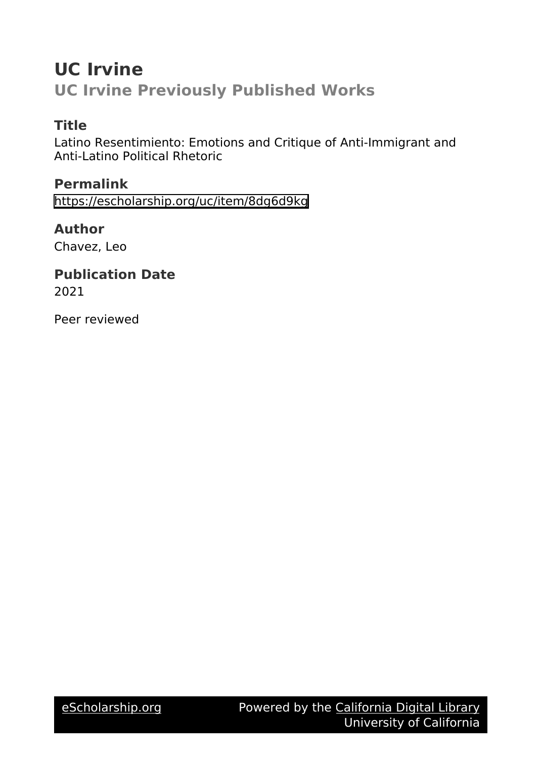# **UC Irvine UC Irvine Previously Published Works**

# **Title**

Latino Resentimiento: Emotions and Critique of Anti-Immigrant and Anti-Latino Political Rhetoric

# **Permalink**

<https://escholarship.org/uc/item/8dg6d9kg>

# **Author**

Chavez, Leo

# **Publication Date**

2021

Peer reviewed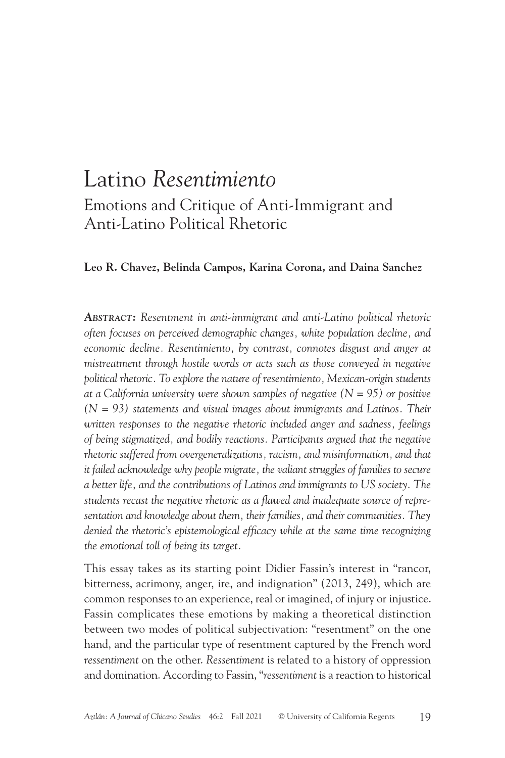# Latino *Resentimiento* Emotions and Critique of Anti-Immigrant and Anti-Latino Political Rhetoric

#### **Leo R. Chavez, Belinda Campos, Karina Corona, and Daina Sanchez**

*Abstract: Resentment in anti-immigrant and anti-Latino political rhetoric often focuses on perceived demographic changes, white population decline, and economic decline. Resentimiento, by contrast, connotes disgust and anger at mistreatment through hostile words or acts such as those conveyed in negative political rhetoric. To explore the nature of resentimiento, Mexican-origin students at a California university were shown samples of negative (N = 95) or positive (N = 93) statements and visual images about immigrants and Latinos. Their written responses to the negative rhetoric included anger and sadness, feelings of being stigmatized, and bodily reactions. Participants argued that the negative rhetoric suffered from overgeneralizations, racism, and misinformation, and that it failed acknowledge why people migrate, the valiant struggles of families to secure a better life, and the contributions of Latinos and immigrants to US society. The students recast the negative rhetoric as a flawed and inadequate source of representation and knowledge about them, their families, and their communities. They denied the rhetoric's epistemological efficacy while at the same time recognizing the emotional toll of being its target.*

This essay takes as its starting point Didier Fassin's interest in "rancor, bitterness, acrimony, anger, ire, and indignation" (2013, 249), which are common responses to an experience, real or imagined, of injury or injustice. Fassin complicates these emotions by making a theoretical distinction between two modes of political subjectivation: "resentment" on the one hand, and the particular type of resentment captured by the French word *ressentiment* on the other. *Ressentiment* is related to a history of oppression and domination. According to Fassin, "*ressentiment* is a reaction to historical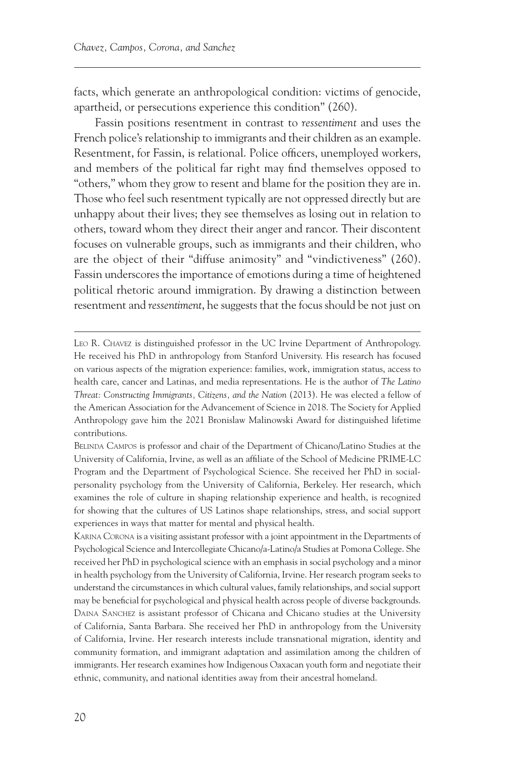facts, which generate an anthropological condition: victims of genocide, apartheid, or persecutions experience this condition" (260).

Fassin positions resentment in contrast to *ressentiment* and uses the French police's relationship to immigrants and their children as an example. Resentment, for Fassin, is relational. Police officers, unemployed workers, and members of the political far right may find themselves opposed to "others," whom they grow to resent and blame for the position they are in. Those who feel such resentment typically are not oppressed directly but are unhappy about their lives; they see themselves as losing out in relation to others, toward whom they direct their anger and rancor. Their discontent focuses on vulnerable groups, such as immigrants and their children, who are the object of their "diffuse animosity" and "vindictiveness" (260). Fassin underscores the importance of emotions during a time of heightened political rhetoric around immigration. By drawing a distinction between resentment and *ressentiment*, he suggests that the focus should be not just on

Leo R. Chavez is distinguished professor in the UC Irvine Department of Anthropology. He received his PhD in anthropology from Stanford University. His research has focused on various aspects of the migration experience: families, work, immigration status, access to health care, cancer and Latinas, and media representations. He is the author of *The Latino Threat: Constructing Immigrants, Citizens, and the Nation* (2013). He was elected a fellow of the American Association for the Advancement of Science in 2018. The Society for Applied Anthropology gave him the 2021 Bronislaw Malinowski Award for distinguished lifetime contributions.

Belinda Campos is professor and chair of the Department of Chicano/Latino Studies at the University of California, Irvine, as well as an affiliate of the School of Medicine PRIME-LC Program and the Department of Psychological Science. She received her PhD in socialpersonality psychology from the University of California, Berkeley. Her research, which examines the role of culture in shaping relationship experience and health, is recognized for showing that the cultures of US Latinos shape relationships, stress, and social support experiences in ways that matter for mental and physical health.

Karina Corona is a visiting assistant professor with a joint appointment in the Departments of Psychological Science and Intercollegiate Chicano/a-Latino/a Studies at Pomona College. She received her PhD in psychological science with an emphasis in social psychology and a minor in health psychology from the University of California, Irvine. Her research program seeks to understand the circumstances in which cultural values, family relationships, and social support may be beneficial for psychological and physical health across people of diverse backgrounds. Daina Sanchez is assistant professor of Chicana and Chicano studies at the University of California, Santa Barbara. She received her PhD in anthropology from the University of California, Irvine. Her research interests include transnational migration, identity and community formation, and immigrant adaptation and assimilation among the children of immigrants. Her research examines how Indigenous Oaxacan youth form and negotiate their ethnic, community, and national identities away from their ancestral homeland.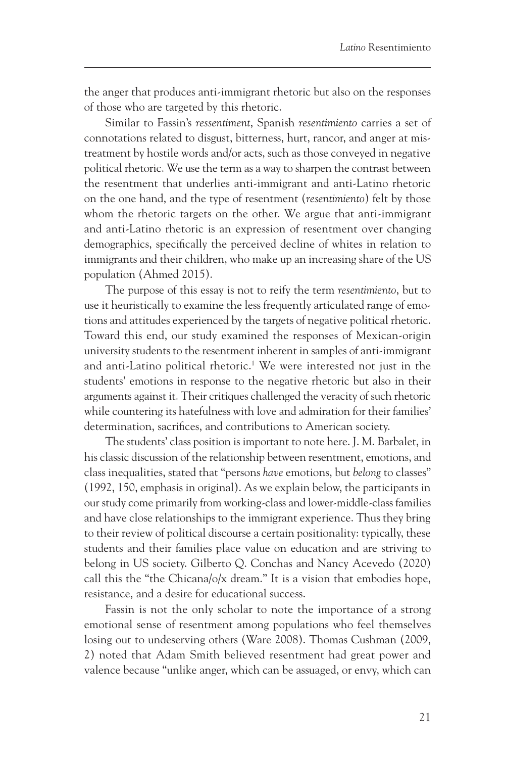<span id="page-3-0"></span>the anger that produces anti-immigrant rhetoric but also on the responses of those who are targeted by this rhetoric.

Similar to Fassin's *ressentiment*, Spanish *resentimiento* carries a set of connotations related to disgust, bitterness, hurt, rancor, and anger at mistreatment by hostile words and/or acts, such as those conveyed in negative political rhetoric. We use the term as a way to sharpen the contrast between the resentment that underlies anti-immigrant and anti-Latino rhetoric on the one hand, and the type of resentment (*resentimiento*) felt by those whom the rhetoric targets on the other. We argue that anti-immigrant and anti-Latino rhetoric is an expression of resentment over changing demographics, specifically the perceived decline of whites in relation to immigrants and their children, who make up an increasing share of the US population (Ahmed 2015).

The purpose of this essay is not to reify the term *resentimiento*, but to use it heuristically to examine the less frequently articulated range of emotions and attitudes experienced by the targets of negative political rhetoric. Toward this end, our study examined the responses of Mexican-origin university students to the resentment inherent in samples of anti-immigrant and anti-Latino political rhetoric.<sup>1</sup> We were interested not just in the students' emotions in response to the negative rhetoric but also in their arguments against it. Their critiques challenged the veracity of such rhetoric while countering its hatefulness with love and admiration for their families' determination, sacrifices, and contributions to American society.

The students' class position is important to note here. J. M. Barbalet, in his classic discussion of the relationship between resentment, emotions, and class inequalities, stated that "persons *have* emotions, but *belong* to classes" (1992, 150, emphasis in original). As we explain below, the participants in our study come primarily from working-class and lower-middle-class families and have close relationships to the immigrant experience. Thus they bring to their review of political discourse a certain positionality: typically, these students and their families place value on education and are striving to belong in US society. Gilberto Q. Conchas and Nancy Acevedo (2020) call this the "the Chicana/o/x dream." It is a vision that embodies hope, resistance, and a desire for educational success.

Fassin is not the only scholar to note the importance of a strong emotional sense of resentment among populations who feel themselves losing out to undeserving others (Ware 2008). Thomas Cushman (2009, 2) noted that Adam Smith believed resentment had great power and valence because "unlike anger, which can be assuaged, or envy, which can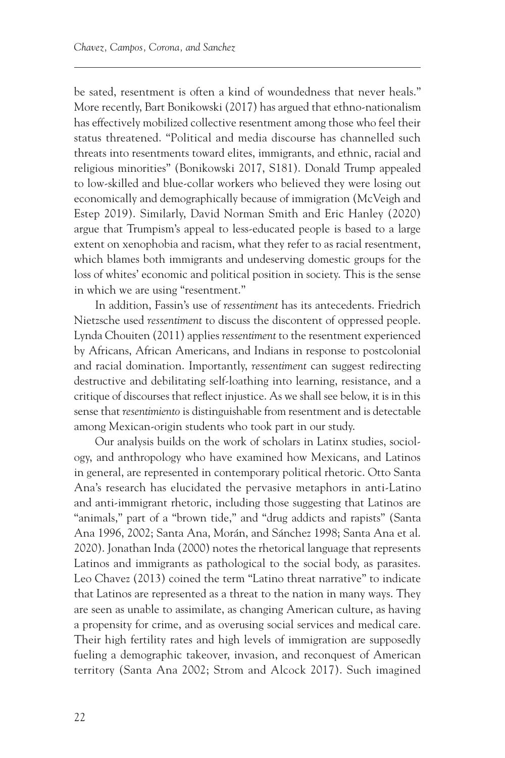be sated, resentment is often a kind of woundedness that never heals." More recently, Bart Bonikowski (2017) has argued that ethno-nationalism has effectively mobilized collective resentment among those who feel their status threatened. "Political and media discourse has channelled such threats into resentments toward elites, immigrants, and ethnic, racial and religious minorities" (Bonikowski 2017, S181). Donald Trump appealed to low-skilled and blue-collar workers who believed they were losing out economically and demographically because of immigration (McVeigh and Estep 2019). Similarly, David Norman Smith and Eric Hanley (2020) argue that Trumpism's appeal to less-educated people is based to a large extent on xenophobia and racism, what they refer to as racial resentment, which blames both immigrants and undeserving domestic groups for the loss of whites' economic and political position in society. This is the sense in which we are using "resentment."

In addition, Fassin's use of *ressentiment* has its antecedents. Friedrich Nietzsche used *ressentiment* to discuss the discontent of oppressed people. Lynda Chouiten (2011) applies *ressentiment* to the resentment experienced by Africans, African Americans, and Indians in response to postcolonial and racial domination. Importantly, *ressentiment* can suggest redirecting destructive and debilitating self-loathing into learning, resistance, and a critique of discourses that reflect injustice. As we shall see below, it is in this sense that *resentimiento* is distinguishable from resentment and is detectable among Mexican-origin students who took part in our study.

Our analysis builds on the work of scholars in Latinx studies, sociology, and anthropology who have examined how Mexicans, and Latinos in general, are represented in contemporary political rhetoric. Otto Santa Ana's research has elucidated the pervasive metaphors in anti-Latino and anti-immigrant rhetoric, including those suggesting that Latinos are "animals," part of a "brown tide," and "drug addicts and rapists" (Santa Ana 1996, 2002; Santa Ana, Morán, and Sánchez 1998; Santa Ana et al. 2020). Jonathan Inda (2000) notes the rhetorical language that represents Latinos and immigrants as pathological to the social body, as parasites. Leo Chavez (2013) coined the term "Latino threat narrative" to indicate that Latinos are represented as a threat to the nation in many ways. They are seen as unable to assimilate, as changing American culture, as having a propensity for crime, and as overusing social services and medical care. Their high fertility rates and high levels of immigration are supposedly fueling a demographic takeover, invasion, and reconquest of American territory (Santa Ana 2002; Strom and Alcock 2017). Such imagined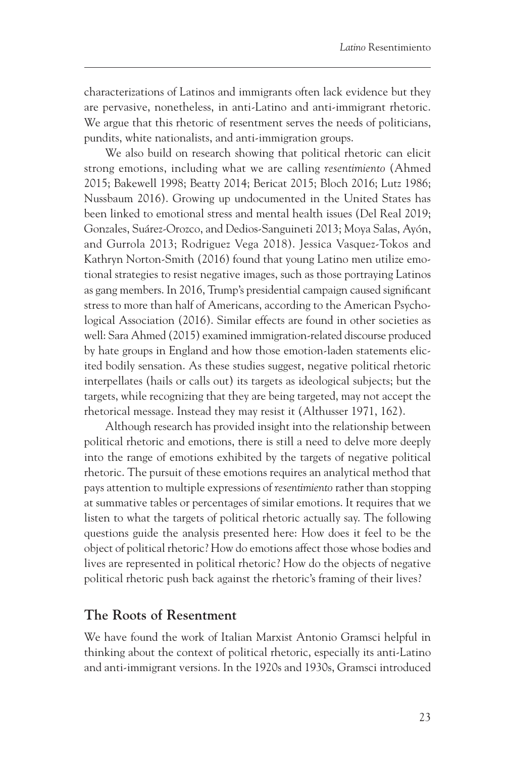characterizations of Latinos and immigrants often lack evidence but they are pervasive, nonetheless, in anti-Latino and anti-immigrant rhetoric. We argue that this rhetoric of resentment serves the needs of politicians, pundits, white nationalists, and anti-immigration groups.

We also build on research showing that political rhetoric can elicit strong emotions, including what we are calling *resentimiento* (Ahmed 2015; Bakewell 1998; Beatty 2014; Bericat 2015; Bloch 2016; Lutz 1986; Nussbaum 2016). Growing up undocumented in the United States has been linked to emotional stress and mental health issues (Del Real 2019; Gonzales, Suárez-Orozco, and Dedios-Sanguineti 2013; Moya Salas, Ayón, and Gurrola 2013; Rodriguez Vega 2018). Jessica Vasquez-Tokos and Kathryn Norton-Smith (2016) found that young Latino men utilize emotional strategies to resist negative images, such as those portraying Latinos as gang members. In 2016, Trump's presidential campaign caused significant stress to more than half of Americans, according to the American Psychological Association (2016). Similar effects are found in other societies as well: Sara Ahmed (2015) examined immigration-related discourse produced by hate groups in England and how those emotion-laden statements elicited bodily sensation. As these studies suggest, negative political rhetoric interpellates (hails or calls out) its targets as ideological subjects; but the targets, while recognizing that they are being targeted, may not accept the rhetorical message. Instead they may resist it (Althusser 1971, 162).

Although research has provided insight into the relationship between political rhetoric and emotions, there is still a need to delve more deeply into the range of emotions exhibited by the targets of negative political rhetoric. The pursuit of these emotions requires an analytical method that pays attention to multiple expressions of *resentimiento* rather than stopping at summative tables or percentages of similar emotions. It requires that we listen to what the targets of political rhetoric actually say. The following questions guide the analysis presented here: How does it feel to be the object of political rhetoric? How do emotions affect those whose bodies and lives are represented in political rhetoric? How do the objects of negative political rhetoric push back against the rhetoric's framing of their lives?

#### **The Roots of Resentment**

We have found the work of Italian Marxist Antonio Gramsci helpful in thinking about the context of political rhetoric, especially its anti-Latino and anti-immigrant versions. In the 1920s and 1930s, Gramsci introduced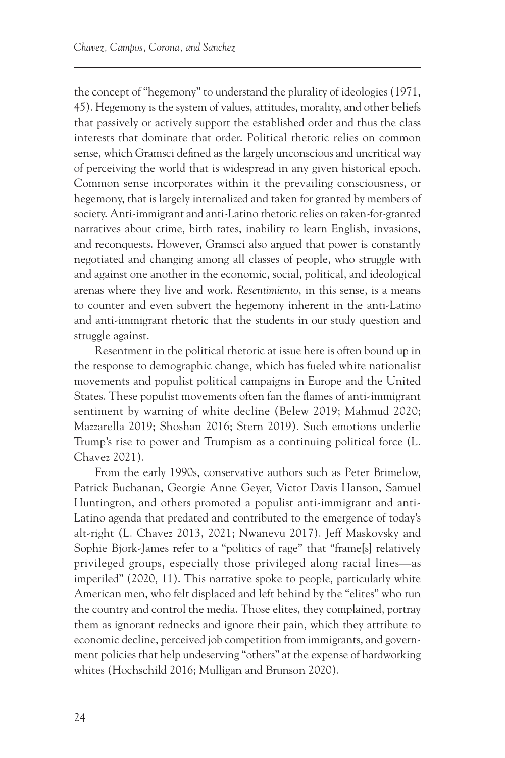the concept of "hegemony" to understand the plurality of ideologies (1971, 45). Hegemony is the system of values, attitudes, morality, and other beliefs that passively or actively support the established order and thus the class interests that dominate that order. Political rhetoric relies on common sense, which Gramsci defined as the largely unconscious and uncritical way of perceiving the world that is widespread in any given historical epoch. Common sense incorporates within it the prevailing consciousness, or hegemony, that is largely internalized and taken for granted by members of society. Anti-immigrant and anti-Latino rhetoric relies on taken-for-granted narratives about crime, birth rates, inability to learn English, invasions, and reconquests. However, Gramsci also argued that power is constantly negotiated and changing among all classes of people, who struggle with and against one another in the economic, social, political, and ideological arenas where they live and work. *Resentimiento*, in this sense, is a means to counter and even subvert the hegemony inherent in the anti-Latino and anti-immigrant rhetoric that the students in our study question and struggle against.

Resentment in the political rhetoric at issue here is often bound up in the response to demographic change, which has fueled white nationalist movements and populist political campaigns in Europe and the United States. These populist movements often fan the flames of anti-immigrant sentiment by warning of white decline (Belew 2019; Mahmud 2020; Mazzarella 2019; Shoshan 2016; Stern 2019). Such emotions underlie Trump's rise to power and Trumpism as a continuing political force (L. Chavez 2021).

From the early 1990s, conservative authors such as Peter Brimelow, Patrick Buchanan, Georgie Anne Geyer, Victor Davis Hanson, Samuel Huntington, and others promoted a populist anti-immigrant and anti-Latino agenda that predated and contributed to the emergence of today's alt-right (L. Chavez 2013, 2021; Nwanevu 2017). Jeff Maskovsky and Sophie Bjork-James refer to a "politics of rage" that "frame[s] relatively privileged groups, especially those privileged along racial lines—as imperiled" (2020, 11). This narrative spoke to people, particularly white American men, who felt displaced and left behind by the "elites" who run the country and control the media. Those elites, they complained, portray them as ignorant rednecks and ignore their pain, which they attribute to economic decline, perceived job competition from immigrants, and government policies that help undeserving "others" at the expense of hardworking whites (Hochschild 2016; Mulligan and Brunson 2020).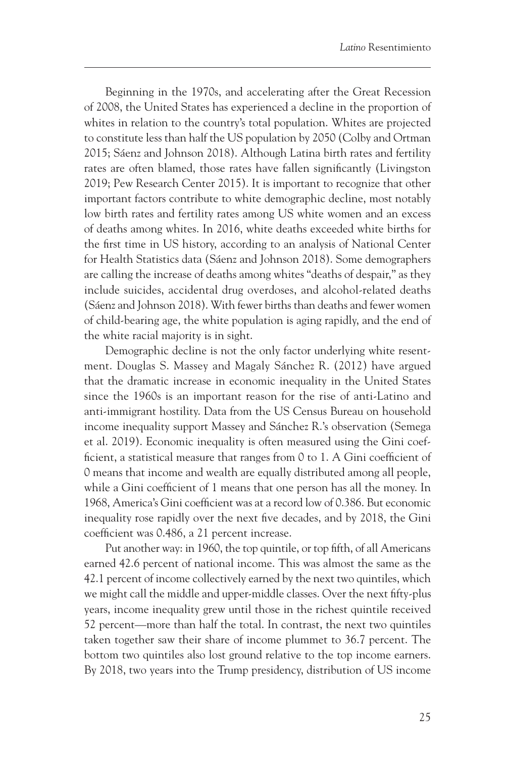Beginning in the 1970s, and accelerating after the Great Recession of 2008, the United States has experienced a decline in the proportion of whites in relation to the country's total population. Whites are projected to constitute less than half the US population by 2050 (Colby and Ortman 2015; Sáenz and Johnson 2018). Although Latina birth rates and fertility rates are often blamed, those rates have fallen significantly (Livingston 2019; Pew Research Center 2015). It is important to recognize that other important factors contribute to white demographic decline, most notably low birth rates and fertility rates among US white women and an excess of deaths among whites. In 2016, white deaths exceeded white births for the first time in US history, according to an analysis of National Center for Health Statistics data (Sáenz and Johnson 2018). Some demographers are calling the increase of deaths among whites "deaths of despair," as they include suicides, accidental drug overdoses, and alcohol-related deaths (Sáenz and Johnson 2018). With fewer births than deaths and fewer women of child-bearing age, the white population is aging rapidly, and the end of the white racial majority is in sight.

Demographic decline is not the only factor underlying white resentment. Douglas S. Massey and Magaly Sánchez R. (2012) have argued that the dramatic increase in economic inequality in the United States since the 1960s is an important reason for the rise of anti-Latino and anti-immigrant hostility. Data from the US Census Bureau on household income inequality support Massey and Sánchez R.'s observation (Semega et al. 2019). Economic inequality is often measured using the Gini coefficient, a statistical measure that ranges from 0 to 1. A Gini coefficient of 0 means that income and wealth are equally distributed among all people, while a Gini coefficient of 1 means that one person has all the money. In 1968, America's Gini coefficient was at a record low of 0.386. But economic inequality rose rapidly over the next five decades, and by 2018, the Gini coefficient was 0.486, a 21 percent increase.

Put another way: in 1960, the top quintile, or top fifth, of all Americans earned 42.6 percent of national income. This was almost the same as the 42.1 percent of income collectively earned by the next two quintiles, which we might call the middle and upper-middle classes. Over the next fifty-plus years, income inequality grew until those in the richest quintile received 52 percent—more than half the total. In contrast, the next two quintiles taken together saw their share of income plummet to 36.7 percent. The bottom two quintiles also lost ground relative to the top income earners. By 2018, two years into the Trump presidency, distribution of US income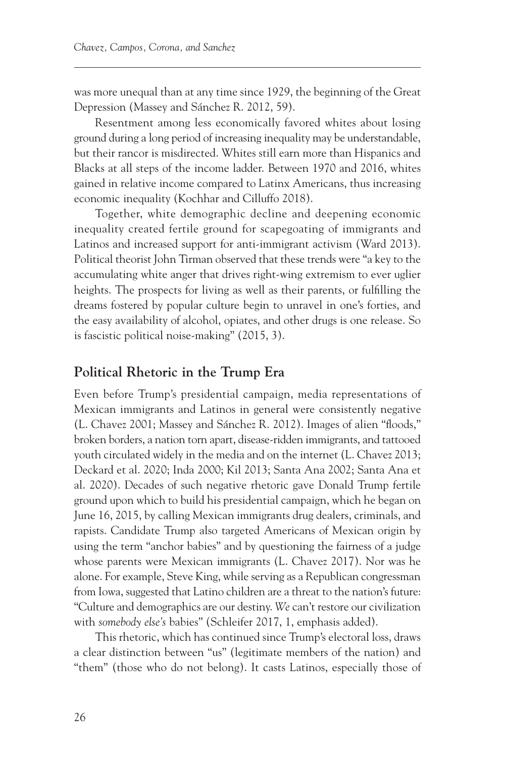was more unequal than at any time since 1929, the beginning of the Great Depression (Massey and Sánchez R. 2012, 59).

Resentment among less economically favored whites about losing ground during a long period of increasing inequality may be understandable, but their rancor is misdirected. Whites still earn more than Hispanics and Blacks at all steps of the income ladder. Between 1970 and 2016, whites gained in relative income compared to Latinx Americans, thus increasing economic inequality (Kochhar and Cilluffo 2018).

Together, white demographic decline and deepening economic inequality created fertile ground for scapegoating of immigrants and Latinos and increased support for anti-immigrant activism (Ward 2013). Political theorist John Tirman observed that these trends were "a key to the accumulating white anger that drives right-wing extremism to ever uglier heights. The prospects for living as well as their parents, or fulfilling the dreams fostered by popular culture begin to unravel in one's forties, and the easy availability of alcohol, opiates, and other drugs is one release. So is fascistic political noise-making" (2015, 3).

#### **Political Rhetoric in the Trump Era**

Even before Trump's presidential campaign, media representations of Mexican immigrants and Latinos in general were consistently negative (L. Chavez 2001; Massey and Sánchez R. 2012). Images of alien "floods," broken borders, a nation torn apart, disease-ridden immigrants, and tattooed youth circulated widely in the media and on the internet (L. Chavez 2013; Deckard et al. 2020; Inda 2000; Kil 2013; Santa Ana 2002; Santa Ana et al. 2020). Decades of such negative rhetoric gave Donald Trump fertile ground upon which to build his presidential campaign, which he began on June 16, 2015, by calling Mexican immigrants drug dealers, criminals, and rapists. Candidate Trump also targeted Americans of Mexican origin by using the term "anchor babies" and by questioning the fairness of a judge whose parents were Mexican immigrants (L. Chavez 2017). Nor was he alone. For example, Steve King, while serving as a Republican congressman from Iowa, suggested that Latino children are a threat to the nation's future: "Culture and demographics are our destiny. *We* can't restore our civilization with *somebody else's* babies" (Schleifer 2017, 1, emphasis added).

This rhetoric, which has continued since Trump's electoral loss, draws a clear distinction between "us" (legitimate members of the nation) and "them" (those who do not belong). It casts Latinos, especially those of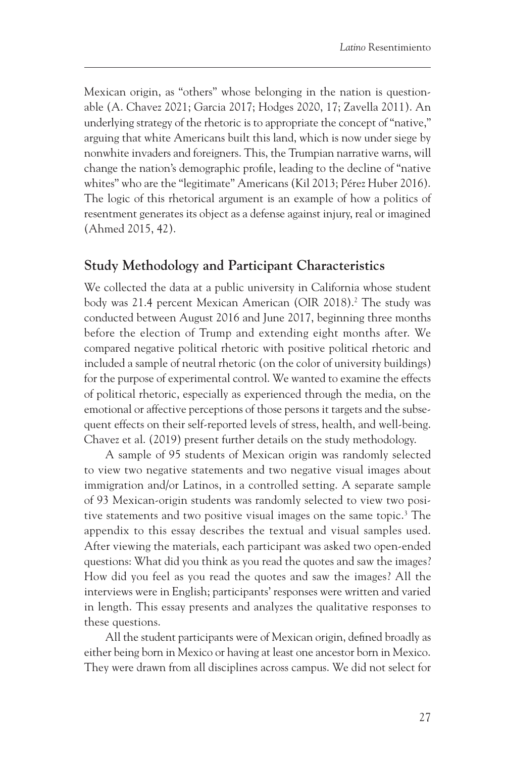<span id="page-9-0"></span>Mexican origin, as "others" whose belonging in the nation is questionable (A. Chavez 2021; Garcia 2017; Hodges 2020, 17; Zavella 2011). An underlying strategy of the rhetoric is to appropriate the concept of "native," arguing that white Americans built this land, which is now under siege by nonwhite invaders and foreigners. This, the Trumpian narrative warns, will change the nation's demographic profile, leading to the decline of "native whites" who are the "legitimate" Americans (Kil 2013; Pérez Huber 2016). The logic of this rhetorical argument is an example of how a politics of resentment generates its object as a defense against injury, real or imagined (Ahmed 2015, 42).

#### **Study Methodology and Participant Characteristics**

We collected the data at a public university in California whose student body was 21.4 percent Mexican American (OIR 2018).<sup>2</sup> The study was conducted between August 2016 and June 2017, beginning three months before the election of Trump and extending eight months after. We compared negative political rhetoric with positive political rhetoric and included a sample of neutral rhetoric (on the color of university buildings) for the purpose of experimental control. We wanted to examine the effects of political rhetoric, especially as experienced through the media, on the emotional or affective perceptions of those persons it targets and the subsequent effects on their self-reported levels of stress, health, and well-being. Chavez et al. (2019) present further details on the study methodology.

A sample of 95 students of Mexican origin was randomly selected to view two negative statements and two negative visual images about immigration and/or Latinos, in a controlled setting. A separate sample of 93 Mexican-origin students was randomly selected to view two posi-tive statements and two positive visual images on the same topic.<sup>[3](#page-28-0)</sup> The appendix to this essay describes the textual and visual samples used. After viewing the materials, each participant was asked two open-ended questions: What did you think as you read the quotes and saw the images? How did you feel as you read the quotes and saw the images? All the interviews were in English; participants' responses were written and varied in length. This essay presents and analyzes the qualitative responses to these questions.

All the student participants were of Mexican origin, defined broadly as either being born in Mexico or having at least one ancestor born in Mexico. They were drawn from all disciplines across campus. We did not select for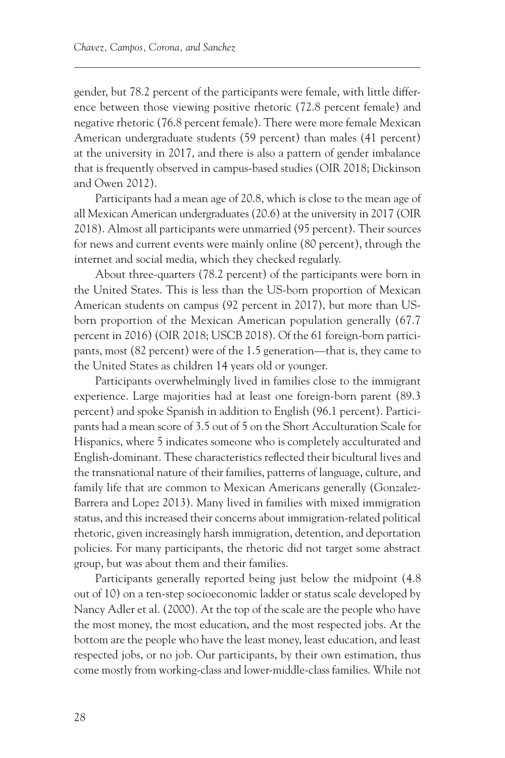gender, but 78.2 percent of the participants were female, with little difference between those viewing positive rhetoric (72.8 percent female) and negative rhetoric (76.8 percent female). There were more female Mexican American undergraduate students (59 percent) than males (41 percent) at the university in 2017, and there is also a pattern of gender imbalance that is frequently observed in campus-based studies (OIR 2018; Dickinson and Owen 2012).

Participants had a mean age of 20.8, which is close to the mean age of all Mexican American undergraduates (20.6) at the university in 2017 (OIR 2018). Almost all participants were unmarried (95 percent). Their sources for news and current events were mainly online (80 percent), through the internet and social media, which they checked regularly.

About three-quarters (78.2 percent) of the participants were born in the United States. This is less than the US-born proportion of Mexican American students on campus (92 percent in 2017), but more than USborn proportion of the Mexican American population generally (67.7 percent in 2016) (OIR 2018; USCB 2018). Of the 61 foreign-born participants, most (82 percent) were of the 1.5 generation—that is, they came to the United States as children 14 years old or younger.

Participants overwhelmingly lived in families close to the immigrant experience. Large majorities had at least one foreign-born parent (89.3 percent) and spoke Spanish in addition to English (96.1 percent). Participants had a mean score of 3.5 out of 5 on the Short Acculturation Scale for Hispanics, where 5 indicates someone who is completely acculturated and English-dominant. These characteristics reflected their bicultural lives and the transnational nature of their families, patterns of language, culture, and family life that are common to Mexican Americans generally (Gonzalez-Barrera and Lopez 2013). Many lived in families with mixed immigration status, and this increased their concerns about immigration-related political rhetoric, given increasingly harsh immigration, detention, and deportation policies. For many participants, the rhetoric did not target some abstract group, but was about them and their families.

Participants generally reported being just below the midpoint (4.8 out of 10) on a ten-step socioeconomic ladder or status scale developed by Nancy Adler et al. (2000). At the top of the scale are the people who have the most money, the most education, and the most respected jobs. At the bottom are the people who have the least money, least education, and least respected jobs, or no job. Our participants, by their own estimation, thus come mostly from working-class and lower-middle-class families. While not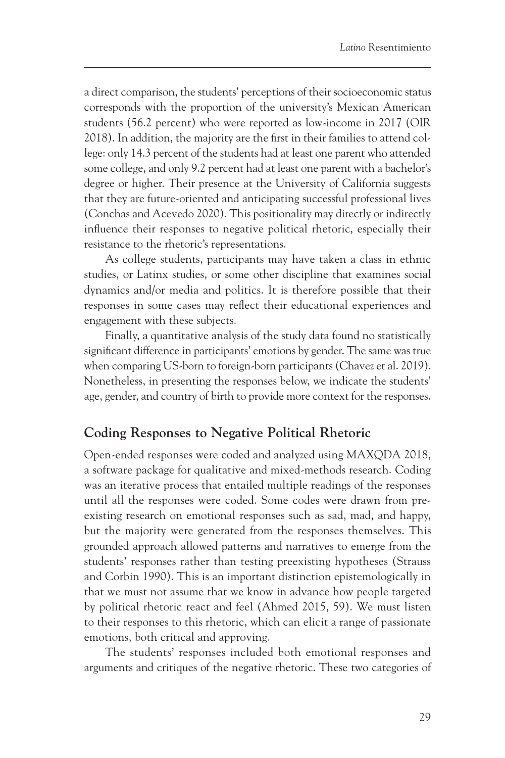a direct comparison, the students' perceptions of their socioeconomic status corresponds with the proportion of the university's Mexican American students (56.2 percent) who were reported as low-income in 2017 (OIR 2018). In addition, the majority are the first in their families to attend college: only 14.3 percent of the students had at least one parent who attended some college, and only 9.2 percent had at least one parent with a bachelor's degree or higher. Their presence at the University of California suggests that they are future-oriented and anticipating successful professional lives (Conchas and Acevedo 2020). This positionality may directly or indirectly influence their responses to negative political rhetoric, especially their resistance to the rhetoric's representations.

As college students, participants may have taken a class in ethnic studies, or Latinx studies, or some other discipline that examines social dynamics and/or media and politics. It is therefore possible that their responses in some cases may reflect their educational experiences and engagement with these subjects.

Finally, a quantitative analysis of the study data found no statistically significant difference in participants' emotions by gender. The same was true when comparing US-born to foreign-born participants (Chavez et al. 2019). Nonetheless, in presenting the responses below, we indicate the students' age, gender, and country of birth to provide more context for the responses.

## **Coding Responses to Negative Political Rhetoric**

Open-ended responses were coded and analyzed using MAXQDA 2018, a software package for qualitative and mixed-methods research. Coding was an iterative process that entailed multiple readings of the responses until all the responses were coded. Some codes were drawn from preexisting research on emotional responses such as sad, mad, and happy, but the majority were generated from the responses themselves. This grounded approach allowed patterns and narratives to emerge from the students' responses rather than testing preexisting hypotheses (Strauss and Corbin 1990). This is an important distinction epistemologically in that we must not assume that we know in advance how people targeted by political rhetoric react and feel (Ahmed 2015, 59). We must listen to their responses to this rhetoric, which can elicit a range of passionate emotions, both critical and approving.

The students' responses included both emotional responses and arguments and critiques of the negative rhetoric. These two categories of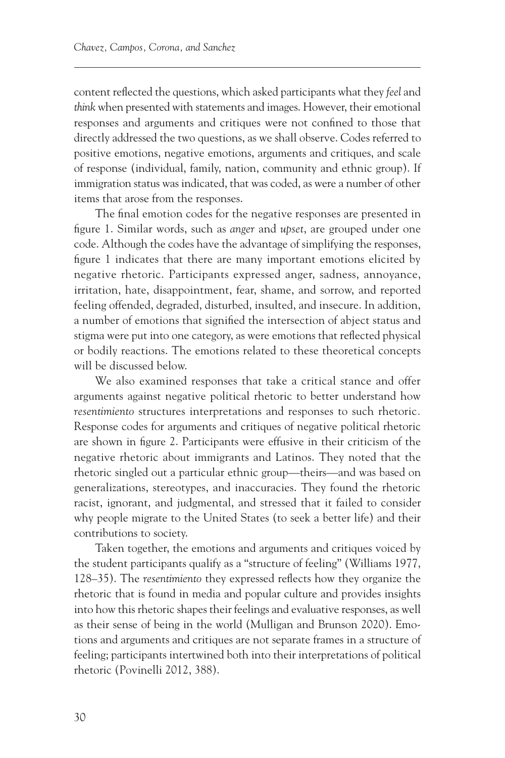content reflected the questions, which asked participants what they *feel* and *think* when presented with statements and images. However, their emotional responses and arguments and critiques were not confined to those that directly addressed the two questions, as we shall observe. Codes referred to positive emotions, negative emotions, arguments and critiques, and scale of response (individual, family, nation, community and ethnic group). If immigration status was indicated, that was coded, as were a number of other items that arose from the responses.

The final emotion codes for the negative responses are presented in figure 1. Similar words, such as *anger* and *upset*, are grouped under one code. Although the codes have the advantage of simplifying the responses, figure 1 indicates that there are many important emotions elicited by negative rhetoric. Participants expressed anger, sadness, annoyance, irritation, hate, disappointment, fear, shame, and sorrow, and reported feeling offended, degraded, disturbed, insulted, and insecure. In addition, a number of emotions that signified the intersection of abject status and stigma were put into one category, as were emotions that reflected physical or bodily reactions. The emotions related to these theoretical concepts will be discussed below.

We also examined responses that take a critical stance and offer arguments against negative political rhetoric to better understand how *resentimiento* structures interpretations and responses to such rhetoric*.* Response codes for arguments and critiques of negative political rhetoric are shown in figure 2. Participants were effusive in their criticism of the negative rhetoric about immigrants and Latinos. They noted that the rhetoric singled out a particular ethnic group—theirs—and was based on generalizations, stereotypes, and inaccuracies. They found the rhetoric racist, ignorant, and judgmental, and stressed that it failed to consider why people migrate to the United States (to seek a better life) and their contributions to society.

Taken together, the emotions and arguments and critiques voiced by the student participants qualify as a "structure of feeling" (Williams 1977, 128–35). The *resentimiento* they expressed reflects how they organize the rhetoric that is found in media and popular culture and provides insights into how this rhetoric shapes their feelings and evaluative responses, as well as their sense of being in the world (Mulligan and Brunson 2020). Emotions and arguments and critiques are not separate frames in a structure of feeling; participants intertwined both into their interpretations of political rhetoric (Povinelli 2012, 388).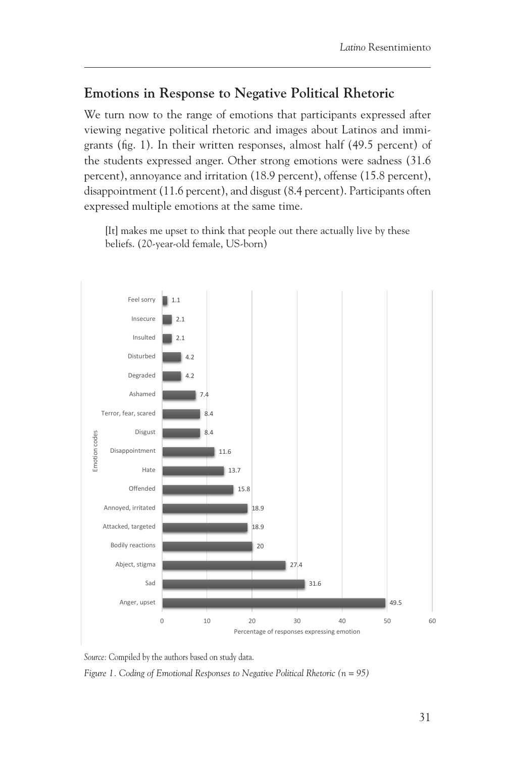## **Emotions in Response to Negative Political Rhetoric**

We turn now to the range of emotions that participants expressed after viewing negative political rhetoric and images about Latinos and immigrants (fig. 1). In their written responses, almost half (49.5 percent) of the students expressed anger. Other strong emotions were sadness (31.6 percent), annoyance and irritation (18.9 percent), offense (15.8 percent), disappointment (11.6 percent), and disgust (8.4 percent). Participants often expressed multiple emotions at the same time.

[It] makes me upset to think that people out there actually live by these beliefs. (20-year-old female, US-born)



Source: Compiled by the authors based on study data. *Source:* Compiled by the authors based on study data.

*Figure 1. Coding of Emotional Responses to Negative Political Rhetoric (n = 95)*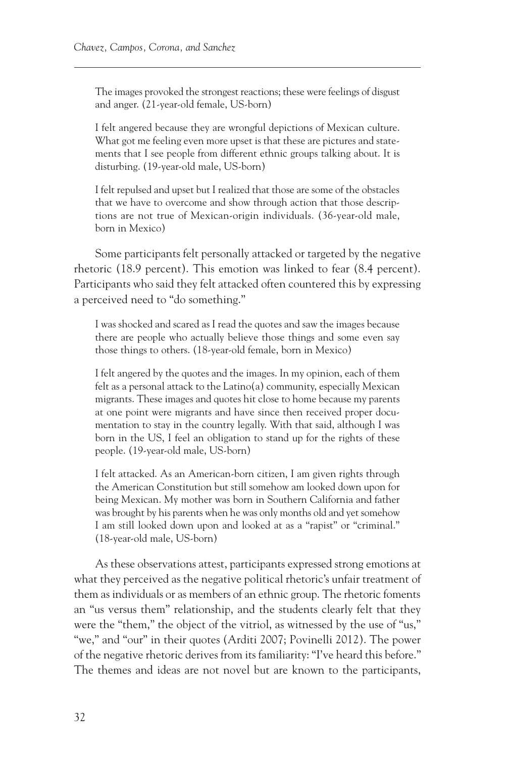The images provoked the strongest reactions; these were feelings of disgust and anger. (21-year-old female, US-born)

I felt angered because they are wrongful depictions of Mexican culture. What got me feeling even more upset is that these are pictures and statements that I see people from different ethnic groups talking about. It is disturbing. (19-year-old male, US-born)

I felt repulsed and upset but I realized that those are some of the obstacles that we have to overcome and show through action that those descriptions are not true of Mexican-origin individuals. (36-year-old male, born in Mexico)

Some participants felt personally attacked or targeted by the negative rhetoric (18.9 percent). This emotion was linked to fear (8.4 percent). Participants who said they felt attacked often countered this by expressing a perceived need to "do something."

I was shocked and scared as I read the quotes and saw the images because there are people who actually believe those things and some even say those things to others. (18-year-old female, born in Mexico)

I felt angered by the quotes and the images. In my opinion, each of them felt as a personal attack to the Latino(a) community, especially Mexican migrants. These images and quotes hit close to home because my parents at one point were migrants and have since then received proper documentation to stay in the country legally. With that said, although I was born in the US, I feel an obligation to stand up for the rights of these people. (19-year-old male, US-born)

I felt attacked. As an American-born citizen, I am given rights through the American Constitution but still somehow am looked down upon for being Mexican. My mother was born in Southern California and father was brought by his parents when he was only months old and yet somehow I am still looked down upon and looked at as a "rapist" or "criminal." (18-year-old male, US-born)

As these observations attest, participants expressed strong emotions at what they perceived as the negative political rhetoric's unfair treatment of them as individuals or as members of an ethnic group. The rhetoric foments an "us versus them" relationship, and the students clearly felt that they were the "them," the object of the vitriol, as witnessed by the use of "us," "we," and "our" in their quotes (Arditi 2007; Povinelli 2012). The power of the negative rhetoric derives from its familiarity: "I've heard this before." The themes and ideas are not novel but are known to the participants,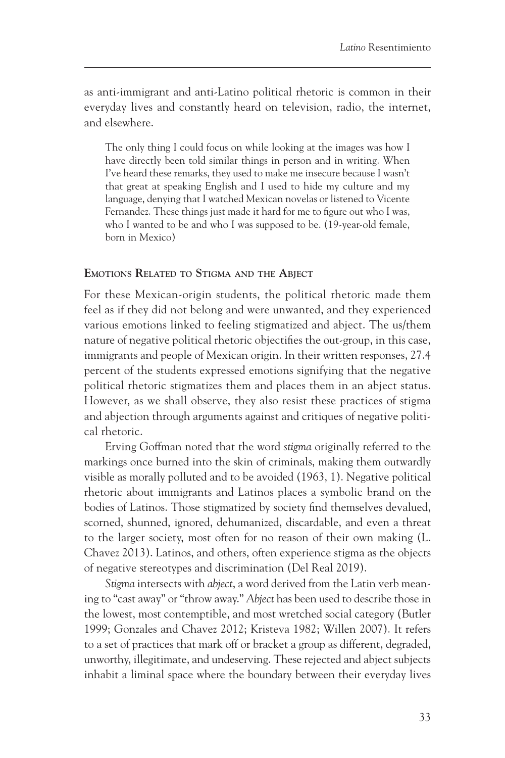as anti-immigrant and anti-Latino political rhetoric is common in their everyday lives and constantly heard on television, radio, the internet, and elsewhere.

The only thing I could focus on while looking at the images was how I have directly been told similar things in person and in writing. When I've heard these remarks, they used to make me insecure because I wasn't that great at speaking English and I used to hide my culture and my language, denying that I watched Mexican novelas or listened to Vicente Fernandez. These things just made it hard for me to figure out who I was, who I wanted to be and who I was supposed to be. (19-year-old female, born in Mexico)

#### **Emotions Related to Stigma and the Abject**

For these Mexican-origin students, the political rhetoric made them feel as if they did not belong and were unwanted, and they experienced various emotions linked to feeling stigmatized and abject. The us/them nature of negative political rhetoric objectifies the out-group, in this case, immigrants and people of Mexican origin. In their written responses, 27.4 percent of the students expressed emotions signifying that the negative political rhetoric stigmatizes them and places them in an abject status. However, as we shall observe, they also resist these practices of stigma and abjection through arguments against and critiques of negative political rhetoric.

Erving Goffman noted that the word *stigma* originally referred to the markings once burned into the skin of criminals, making them outwardly visible as morally polluted and to be avoided (1963, 1). Negative political rhetoric about immigrants and Latinos places a symbolic brand on the bodies of Latinos. Those stigmatized by society find themselves devalued, scorned, shunned, ignored, dehumanized, discardable, and even a threat to the larger society, most often for no reason of their own making (L. Chavez 2013). Latinos, and others, often experience stigma as the objects of negative stereotypes and discrimination (Del Real 2019).

*Stigma* intersects with *abject*, a word derived from the Latin verb meaning to "cast away" or "throw away." *Abject* has been used to describe those in the lowest, most contemptible, and most wretched social category (Butler 1999; Gonzales and Chavez 2012; Kristeva 1982; Willen 2007). It refers to a set of practices that mark off or bracket a group as different, degraded, unworthy, illegitimate, and undeserving. These rejected and abject subjects inhabit a liminal space where the boundary between their everyday lives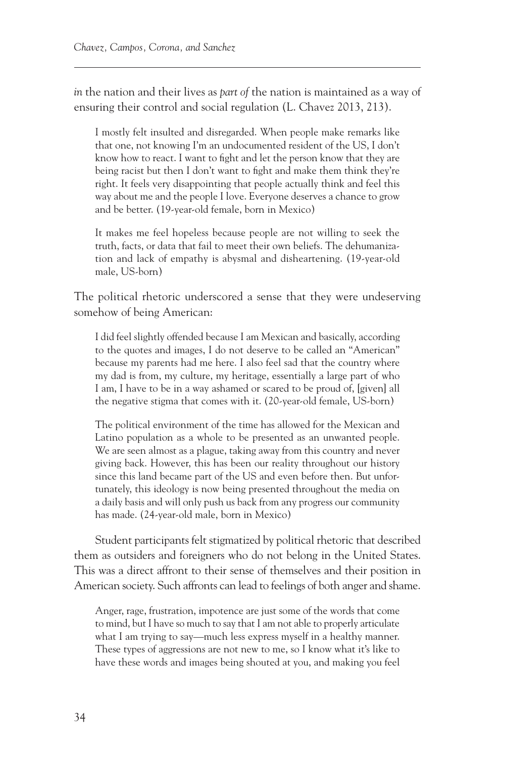*in* the nation and their lives as *part of* the nation is maintained as a way of ensuring their control and social regulation (L. Chavez 2013, 213).

I mostly felt insulted and disregarded. When people make remarks like that one, not knowing I'm an undocumented resident of the US, I don't know how to react. I want to fight and let the person know that they are being racist but then I don't want to fight and make them think they're right. It feels very disappointing that people actually think and feel this way about me and the people I love. Everyone deserves a chance to grow and be better. (19-year-old female, born in Mexico)

It makes me feel hopeless because people are not willing to seek the truth, facts, or data that fail to meet their own beliefs. The dehumanization and lack of empathy is abysmal and disheartening. (19-year-old male, US-born)

The political rhetoric underscored a sense that they were undeserving somehow of being American:

I did feel slightly offended because I am Mexican and basically, according to the quotes and images, I do not deserve to be called an "American" because my parents had me here. I also feel sad that the country where my dad is from, my culture, my heritage, essentially a large part of who I am, I have to be in a way ashamed or scared to be proud of, [given] all the negative stigma that comes with it. (20-year-old female, US-born)

The political environment of the time has allowed for the Mexican and Latino population as a whole to be presented as an unwanted people. We are seen almost as a plague, taking away from this country and never giving back. However, this has been our reality throughout our history since this land became part of the US and even before then. But unfortunately, this ideology is now being presented throughout the media on a daily basis and will only push us back from any progress our community has made. (24-year-old male, born in Mexico)

Student participants felt stigmatized by political rhetoric that described them as outsiders and foreigners who do not belong in the United States. This was a direct affront to their sense of themselves and their position in American society. Such affronts can lead to feelings of both anger and shame.

Anger, rage, frustration, impotence are just some of the words that come to mind, but I have so much to say that I am not able to properly articulate what I am trying to say—much less express myself in a healthy manner. These types of aggressions are not new to me, so I know what it's like to have these words and images being shouted at you, and making you feel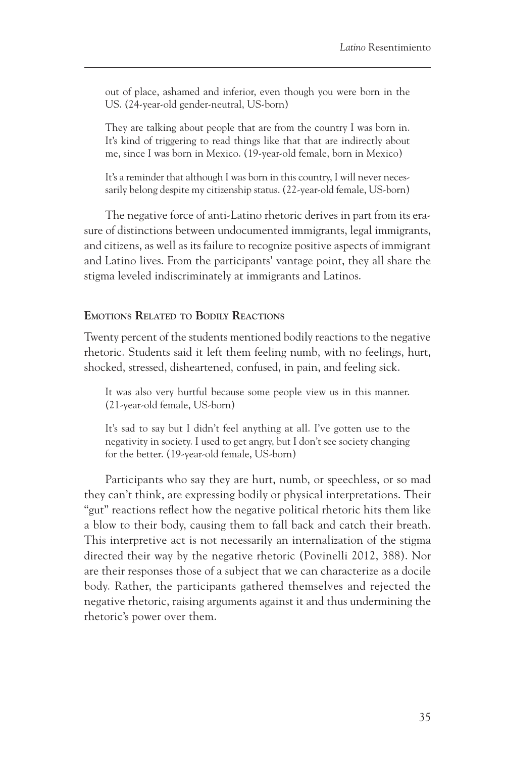out of place, ashamed and inferior, even though you were born in the US. (24-year-old gender-neutral, US-born)

They are talking about people that are from the country I was born in. It's kind of triggering to read things like that that are indirectly about me, since I was born in Mexico. (19-year-old female, born in Mexico)

It's a reminder that although I was born in this country, I will never necessarily belong despite my citizenship status. (22-year-old female, US-born)

The negative force of anti-Latino rhetoric derives in part from its erasure of distinctions between undocumented immigrants, legal immigrants, and citizens, as well as its failure to recognize positive aspects of immigrant and Latino lives. From the participants' vantage point, they all share the stigma leveled indiscriminately at immigrants and Latinos.

#### **Emotions Related to Bodily Reactions**

Twenty percent of the students mentioned bodily reactions to the negative rhetoric. Students said it left them feeling numb, with no feelings, hurt, shocked, stressed, disheartened, confused, in pain, and feeling sick.

It was also very hurtful because some people view us in this manner. (21-year-old female, US-born)

It's sad to say but I didn't feel anything at all. I've gotten use to the negativity in society. I used to get angry, but I don't see society changing for the better. (19-year-old female, US-born)

Participants who say they are hurt, numb, or speechless, or so mad they can't think, are expressing bodily or physical interpretations. Their "gut" reactions reflect how the negative political rhetoric hits them like a blow to their body, causing them to fall back and catch their breath. This interpretive act is not necessarily an internalization of the stigma directed their way by the negative rhetoric (Povinelli 2012, 388). Nor are their responses those of a subject that we can characterize as a docile body. Rather, the participants gathered themselves and rejected the negative rhetoric, raising arguments against it and thus undermining the rhetoric's power over them.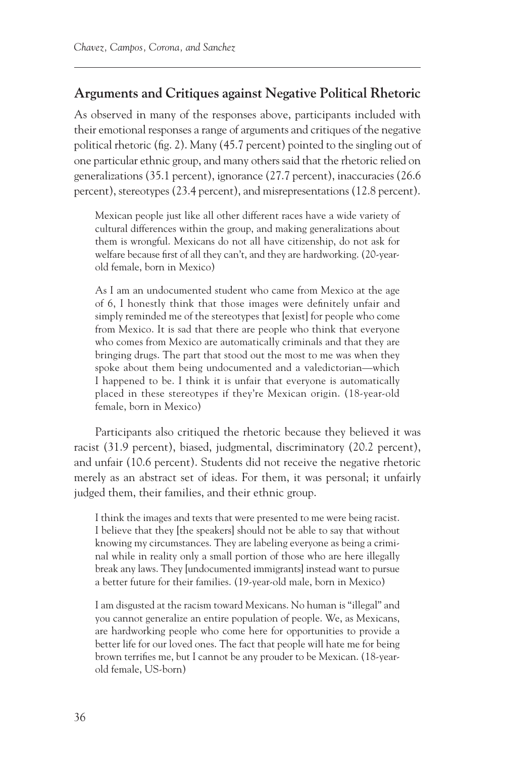## **Arguments and Critiques against Negative Political Rhetoric**

As observed in many of the responses above, participants included with their emotional responses a range of arguments and critiques of the negative political rhetoric (fig. 2). Many (45.7 percent) pointed to the singling out of one particular ethnic group, and many others said that the rhetoric relied on generalizations (35.1 percent), ignorance (27.7 percent), inaccuracies (26.6 percent), stereotypes (23.4 percent), and misrepresentations (12.8 percent).

Mexican people just like all other different races have a wide variety of cultural differences within the group, and making generalizations about them is wrongful. Mexicans do not all have citizenship, do not ask for welfare because first of all they can't, and they are hardworking. (20-yearold female, born in Mexico)

As I am an undocumented student who came from Mexico at the age of 6, I honestly think that those images were definitely unfair and simply reminded me of the stereotypes that [exist] for people who come from Mexico. It is sad that there are people who think that everyone who comes from Mexico are automatically criminals and that they are bringing drugs. The part that stood out the most to me was when they spoke about them being undocumented and a valedictorian—which I happened to be. I think it is unfair that everyone is automatically placed in these stereotypes if they're Mexican origin. (18-year-old female, born in Mexico)

Participants also critiqued the rhetoric because they believed it was racist (31.9 percent), biased, judgmental, discriminatory (20.2 percent), and unfair (10.6 percent). Students did not receive the negative rhetoric merely as an abstract set of ideas. For them, it was personal; it unfairly judged them, their families, and their ethnic group.

I think the images and texts that were presented to me were being racist. I believe that they [the speakers] should not be able to say that without knowing my circumstances. They are labeling everyone as being a criminal while in reality only a small portion of those who are here illegally break any laws. They [undocumented immigrants] instead want to pursue a better future for their families. (19-year-old male, born in Mexico)

I am disgusted at the racism toward Mexicans. No human is "illegal" and you cannot generalize an entire population of people. We, as Mexicans, are hardworking people who come here for opportunities to provide a better life for our loved ones. The fact that people will hate me for being brown terrifies me, but I cannot be any prouder to be Mexican. (18-yearold female, US-born)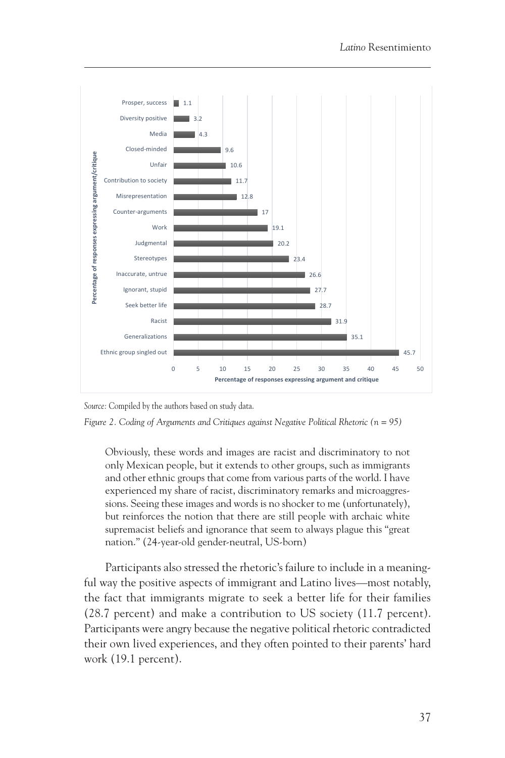

**Figure 2. Coding of Arguments and Critiques against** 

*Source:* Compiled by the authors based on study data.

*Figure 2. Coding of Arguments and Critiques against Negative Political Rhetoric (n = 95)*

Obviously, these words and images are racist and discriminatory to not only Mexican people, but it extends to other groups, such as immigrants and other ethnic groups that come from various parts of the world. I have experienced my share of racist, discriminatory remarks and microaggressions. Seeing these images and words is no shocker to me (unfortunately), but reinforces the notion that there are still people with archaic white supremacist beliefs and ignorance that seem to always plague this "great nation." (24-year-old gender-neutral, US-born)

Participants also stressed the rhetoric's failure to include in a meaningful way the positive aspects of immigrant and Latino lives—most notably, the fact that immigrants migrate to seek a better life for their families (28.7 percent) and make a contribution to US society (11.7 percent). Participants were angry because the negative political rhetoric contradicted their own lived experiences, and they often pointed to their parents' hard work (19.1 percent).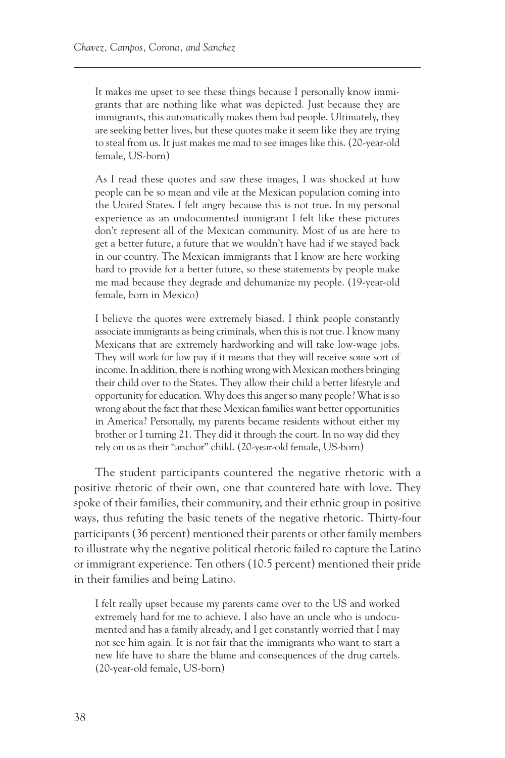It makes me upset to see these things because I personally know immigrants that are nothing like what was depicted. Just because they are immigrants, this automatically makes them bad people. Ultimately, they are seeking better lives, but these quotes make it seem like they are trying to steal from us. It just makes me mad to see images like this. (20-year-old female, US-born)

As I read these quotes and saw these images, I was shocked at how people can be so mean and vile at the Mexican population coming into the United States. I felt angry because this is not true. In my personal experience as an undocumented immigrant I felt like these pictures don't represent all of the Mexican community. Most of us are here to get a better future, a future that we wouldn't have had if we stayed back in our country. The Mexican immigrants that I know are here working hard to provide for a better future, so these statements by people make me mad because they degrade and dehumanize my people. (19-year-old female, born in Mexico)

I believe the quotes were extremely biased. I think people constantly associate immigrants as being criminals, when this is not true. I know many Mexicans that are extremely hardworking and will take low-wage jobs. They will work for low pay if it means that they will receive some sort of income. In addition, there is nothing wrong with Mexican mothers bringing their child over to the States. They allow their child a better lifestyle and opportunity for education. Why does this anger so many people? What is so wrong about the fact that these Mexican families want better opportunities in America? Personally, my parents became residents without either my brother or I turning 21. They did it through the court. In no way did they rely on us as their "anchor" child. (20-year-old female, US-born)

The student participants countered the negative rhetoric with a positive rhetoric of their own, one that countered hate with love. They spoke of their families, their community, and their ethnic group in positive ways, thus refuting the basic tenets of the negative rhetoric. Thirty-four participants (36 percent) mentioned their parents or other family members to illustrate why the negative political rhetoric failed to capture the Latino or immigrant experience. Ten others (10.5 percent) mentioned their pride in their families and being Latino.

I felt really upset because my parents came over to the US and worked extremely hard for me to achieve. I also have an uncle who is undocumented and has a family already, and I get constantly worried that I may not see him again. It is not fair that the immigrants who want to start a new life have to share the blame and consequences of the drug cartels. (20-year-old female, US-born)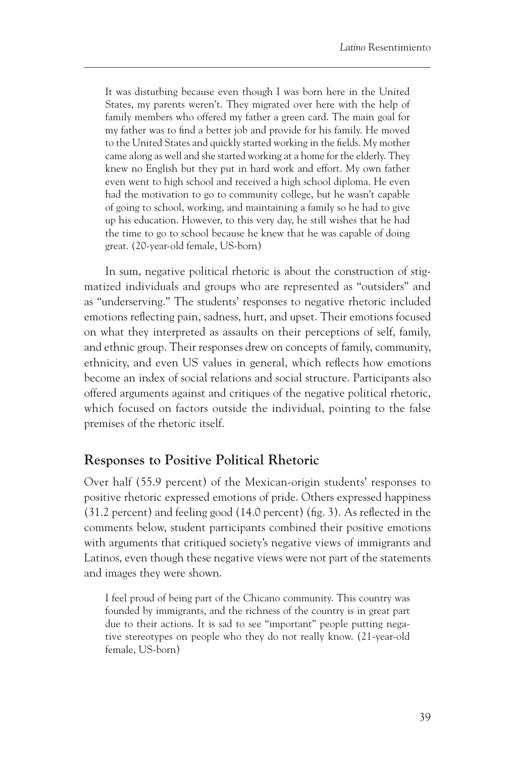It was disturbing because even though I was born here in the United States, my parents weren't. They migrated over here with the help of family members who offered my father a green card. The main goal for my father was to find a better job and provide for his family. He moved to the United States and quickly started working in the fields. My mother came along as well and she started working at a home for the elderly. They knew no English but they put in hard work and effort. My own father even went to high school and received a high school diploma. He even had the motivation to go to community college, but he wasn't capable of going to school, working, and maintaining a family so he had to give up his education. However, to this very day, he still wishes that he had the time to go to school because he knew that he was capable of doing great. (20-year-old female, US-born)

In sum, negative political rhetoric is about the construction of stigmatized individuals and groups who are represented as "outsiders" and as "underserving." The students' responses to negative rhetoric included emotions reflecting pain, sadness, hurt, and upset. Their emotions focused on what they interpreted as assaults on their perceptions of self, family, and ethnic group. Their responses drew on concepts of family, community, ethnicity, and even US values in general, which reflects how emotions become an index of social relations and social structure. Participants also offered arguments against and critiques of the negative political rhetoric, which focused on factors outside the individual, pointing to the false premises of the rhetoric itself.

## **Responses to Positive Political Rhetoric**

Over half (55.9 percent) of the Mexican-origin students' responses to positive rhetoric expressed emotions of pride. Others expressed happiness (31.2 percent) and feeling good (14.0 percent) (fig. 3). As reflected in the comments below, student participants combined their positive emotions with arguments that critiqued society's negative views of immigrants and Latinos, even though these negative views were not part of the statements and images they were shown.

I feel proud of being part of the Chicano community. This country was founded by immigrants, and the richness of the country is in great part due to their actions. It is sad to see "important" people putting negative stereotypes on people who they do not really know. (21-year-old female, US-born)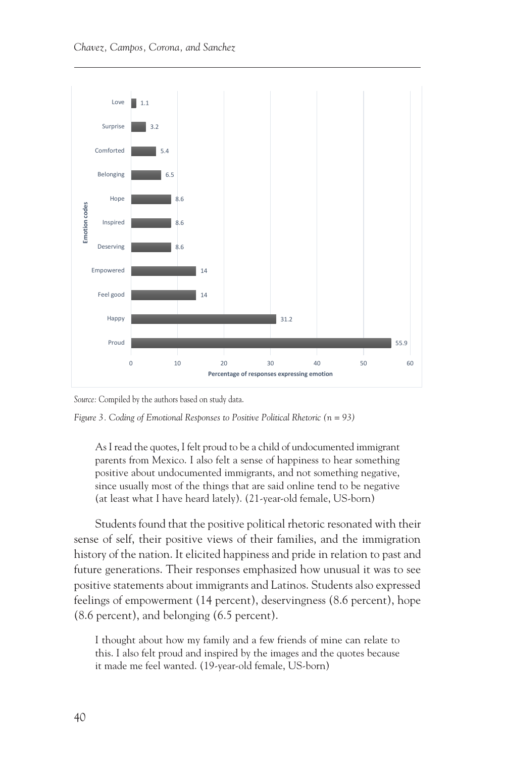

Source: Compiled by the authors based on study data. *Source:* Compiled by the authors based on study data.



As I read the quotes, I felt proud to be a child of undocumented immigrant parents from Mexico. I also felt a sense of happiness to hear something positive about undocumented immigrants, and not something negative, since usually most of the things that are said online tend to be negative (at least what I have heard lately). (21-year-old female, US-born)

Students found that the positive political rhetoric resonated with their sense of self, their positive views of their families, and the immigration history of the nation. It elicited happiness and pride in relation to past and future generations. Their responses emphasized how unusual it was to see positive statements about immigrants and Latinos. Students also expressed feelings of empowerment (14 percent), deservingness (8.6 percent), hope (8.6 percent), and belonging (6.5 percent).

I thought about how my family and a few friends of mine can relate to this. I also felt proud and inspired by the images and the quotes because it made me feel wanted. (19-year-old female, US-born)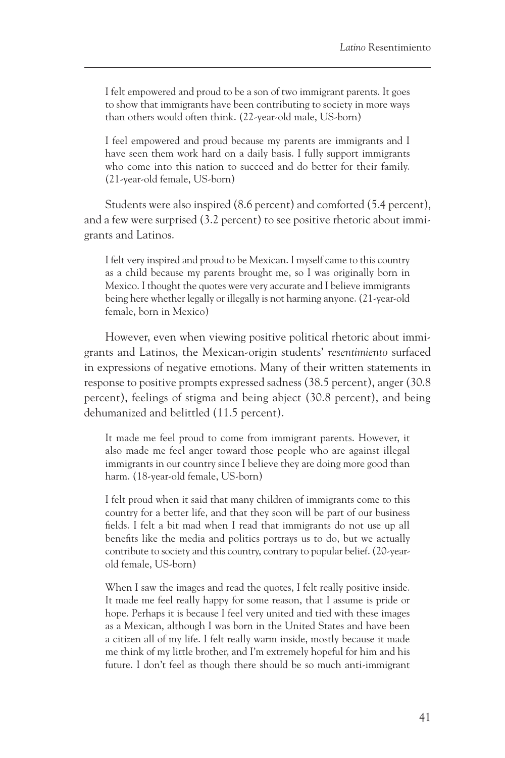I felt empowered and proud to be a son of two immigrant parents. It goes to show that immigrants have been contributing to society in more ways than others would often think. (22-year-old male, US-born)

I feel empowered and proud because my parents are immigrants and I have seen them work hard on a daily basis. I fully support immigrants who come into this nation to succeed and do better for their family. (21-year-old female, US-born)

Students were also inspired (8.6 percent) and comforted (5.4 percent), and a few were surprised (3.2 percent) to see positive rhetoric about immigrants and Latinos.

I felt very inspired and proud to be Mexican. I myself came to this country as a child because my parents brought me, so I was originally born in Mexico. I thought the quotes were very accurate and I believe immigrants being here whether legally or illegally is not harming anyone. (21-year-old female, born in Mexico)

However, even when viewing positive political rhetoric about immigrants and Latinos, the Mexican-origin students' *resentimiento* surfaced in expressions of negative emotions. Many of their written statements in response to positive prompts expressed sadness (38.5 percent), anger (30.8 percent), feelings of stigma and being abject (30.8 percent), and being dehumanized and belittled (11.5 percent).

It made me feel proud to come from immigrant parents. However, it also made me feel anger toward those people who are against illegal immigrants in our country since I believe they are doing more good than harm. (18-year-old female, US-born)

I felt proud when it said that many children of immigrants come to this country for a better life, and that they soon will be part of our business fields. I felt a bit mad when I read that immigrants do not use up all benefits like the media and politics portrays us to do, but we actually contribute to society and this country, contrary to popular belief. (20-yearold female, US-born)

When I saw the images and read the quotes, I felt really positive inside. It made me feel really happy for some reason, that I assume is pride or hope. Perhaps it is because I feel very united and tied with these images as a Mexican, although I was born in the United States and have been a citizen all of my life. I felt really warm inside, mostly because it made me think of my little brother, and I'm extremely hopeful for him and his future. I don't feel as though there should be so much anti-immigrant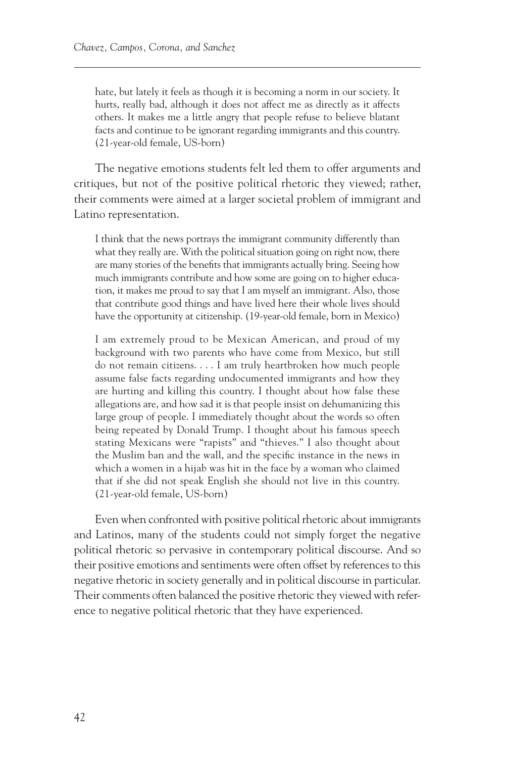hate, but lately it feels as though it is becoming a norm in our society. It hurts, really bad, although it does not affect me as directly as it affects others. It makes me a little angry that people refuse to believe blatant facts and continue to be ignorant regarding immigrants and this country. (21-year-old female, US-born)

The negative emotions students felt led them to offer arguments and critiques, but not of the positive political rhetoric they viewed; rather, their comments were aimed at a larger societal problem of immigrant and Latino representation.

I think that the news portrays the immigrant community differently than what they really are. With the political situation going on right now, there are many stories of the benefits that immigrants actually bring. Seeing how much immigrants contribute and how some are going on to higher education, it makes me proud to say that I am myself an immigrant. Also, those that contribute good things and have lived here their whole lives should have the opportunity at citizenship. (19-year-old female, born in Mexico)

I am extremely proud to be Mexican American, and proud of my background with two parents who have come from Mexico, but still do not remain citizens. . . . I am truly heartbroken how much people assume false facts regarding undocumented immigrants and how they are hurting and killing this country. I thought about how false these allegations are, and how sad it is that people insist on dehumanizing this large group of people. I immediately thought about the words so often being repeated by Donald Trump. I thought about his famous speech stating Mexicans were "rapists" and "thieves." I also thought about the Muslim ban and the wall, and the specific instance in the news in which a women in a hijab was hit in the face by a woman who claimed that if she did not speak English she should not live in this country. (21-year-old female, US-born)

Even when confronted with positive political rhetoric about immigrants and Latinos, many of the students could not simply forget the negative political rhetoric so pervasive in contemporary political discourse. And so their positive emotions and sentiments were often offset by references to this negative rhetoric in society generally and in political discourse in particular. Their comments often balanced the positive rhetoric they viewed with reference to negative political rhetoric that they have experienced.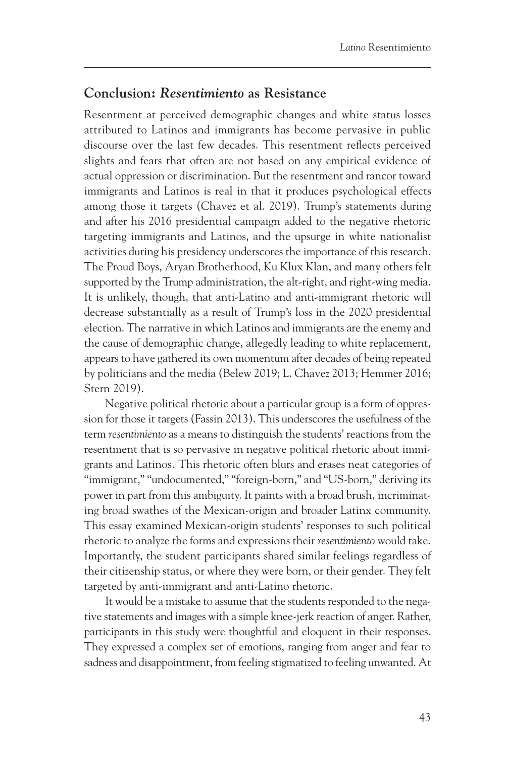#### **Conclusion:** *Resentimiento* **as Resistance**

Resentment at perceived demographic changes and white status losses attributed to Latinos and immigrants has become pervasive in public discourse over the last few decades. This resentment reflects perceived slights and fears that often are not based on any empirical evidence of actual oppression or discrimination. But the resentment and rancor toward immigrants and Latinos is real in that it produces psychological effects among those it targets (Chavez et al. 2019). Trump's statements during and after his 2016 presidential campaign added to the negative rhetoric targeting immigrants and Latinos, and the upsurge in white nationalist activities during his presidency underscores the importance of this research. The Proud Boys, Aryan Brotherhood, Ku Klux Klan, and many others felt supported by the Trump administration, the alt-right, and right-wing media. It is unlikely, though, that anti-Latino and anti-immigrant rhetoric will decrease substantially as a result of Trump's loss in the 2020 presidential election. The narrative in which Latinos and immigrants are the enemy and the cause of demographic change, allegedly leading to white replacement, appears to have gathered its own momentum after decades of being repeated by politicians and the media (Belew 2019; L. Chavez 2013; Hemmer 2016; Stern 2019).

Negative political rhetoric about a particular group is a form of oppression for those it targets (Fassin 2013). This underscores the usefulness of the term *resentimiento* as a means to distinguish the students' reactions from the resentment that is so pervasive in negative political rhetoric about immigrants and Latinos*.* This rhetoric often blurs and erases neat categories of "immigrant," "undocumented," "foreign-born," and "US-born," deriving its power in part from this ambiguity. It paints with a broad brush, incriminating broad swathes of the Mexican-origin and broader Latinx community. This essay examined Mexican-origin students' responses to such political rhetoric to analyze the forms and expressions their *resentimiento* would take. Importantly, the student participants shared similar feelings regardless of their citizenship status, or where they were born, or their gender. They felt targeted by anti-immigrant and anti-Latino rhetoric.

It would be a mistake to assume that the students responded to the negative statements and images with a simple knee-jerk reaction of anger. Rather, participants in this study were thoughtful and eloquent in their responses. They expressed a complex set of emotions, ranging from anger and fear to sadness and disappointment, from feeling stigmatized to feeling unwanted. At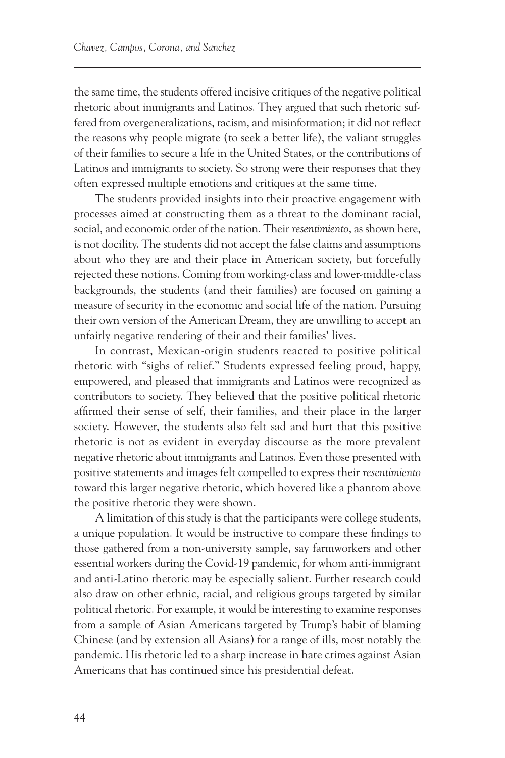the same time, the students offered incisive critiques of the negative political rhetoric about immigrants and Latinos. They argued that such rhetoric suffered from overgeneralizations, racism, and misinformation; it did not reflect the reasons why people migrate (to seek a better life), the valiant struggles of their families to secure a life in the United States, or the contributions of Latinos and immigrants to society. So strong were their responses that they often expressed multiple emotions and critiques at the same time.

The students provided insights into their proactive engagement with processes aimed at constructing them as a threat to the dominant racial, social, and economic order of the nation. Their *resentimiento*, as shown here, is not docility. The students did not accept the false claims and assumptions about who they are and their place in American society, but forcefully rejected these notions. Coming from working-class and lower-middle-class backgrounds, the students (and their families) are focused on gaining a measure of security in the economic and social life of the nation. Pursuing their own version of the American Dream, they are unwilling to accept an unfairly negative rendering of their and their families' lives.

In contrast, Mexican-origin students reacted to positive political rhetoric with "sighs of relief." Students expressed feeling proud, happy, empowered, and pleased that immigrants and Latinos were recognized as contributors to society. They believed that the positive political rhetoric affirmed their sense of self, their families, and their place in the larger society. However, the students also felt sad and hurt that this positive rhetoric is not as evident in everyday discourse as the more prevalent negative rhetoric about immigrants and Latinos. Even those presented with positive statements and images felt compelled to express their *resentimiento* toward this larger negative rhetoric, which hovered like a phantom above the positive rhetoric they were shown.

A limitation of this study is that the participants were college students, a unique population. It would be instructive to compare these findings to those gathered from a non-university sample, say farmworkers and other essential workers during the Covid-19 pandemic, for whom anti-immigrant and anti-Latino rhetoric may be especially salient. Further research could also draw on other ethnic, racial, and religious groups targeted by similar political rhetoric. For example, it would be interesting to examine responses from a sample of Asian Americans targeted by Trump's habit of blaming Chinese (and by extension all Asians) for a range of ills, most notably the pandemic. His rhetoric led to a sharp increase in hate crimes against Asian Americans that has continued since his presidential defeat.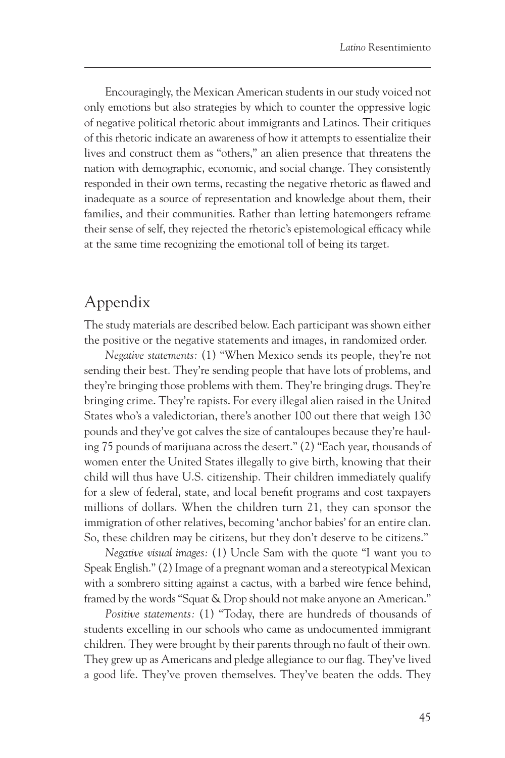Encouragingly, the Mexican American students in our study voiced not only emotions but also strategies by which to counter the oppressive logic of negative political rhetoric about immigrants and Latinos. Their critiques of this rhetoric indicate an awareness of how it attempts to essentialize their lives and construct them as "others," an alien presence that threatens the nation with demographic, economic, and social change. They consistently responded in their own terms, recasting the negative rhetoric as flawed and inadequate as a source of representation and knowledge about them, their families, and their communities. Rather than letting hatemongers reframe their sense of self, they rejected the rhetoric's epistemological efficacy while at the same time recognizing the emotional toll of being its target.

# Appendix

The study materials are described below. Each participant was shown either the positive or the negative statements and images, in randomized order.

*Negative statements:* (1) "When Mexico sends its people, they're not sending their best. They're sending people that have lots of problems, and they're bringing those problems with them. They're bringing drugs. They're bringing crime. They're rapists. For every illegal alien raised in the United States who's a valedictorian, there's another 100 out there that weigh 130 pounds and they've got calves the size of cantaloupes because they're hauling 75 pounds of marijuana across the desert." (2) "Each year, thousands of women enter the United States illegally to give birth, knowing that their child will thus have U.S. citizenship. Their children immediately qualify for a slew of federal, state, and local benefit programs and cost taxpayers millions of dollars. When the children turn 21, they can sponsor the immigration of other relatives, becoming 'anchor babies' for an entire clan. So, these children may be citizens, but they don't deserve to be citizens."

*Negative visual images:* (1) Uncle Sam with the quote "I want you to Speak English." (2) Image of a pregnant woman and a stereotypical Mexican with a sombrero sitting against a cactus, with a barbed wire fence behind, framed by the words "Squat & Drop should not make anyone an American."

*Positive statements:* (1) "Today, there are hundreds of thousands of students excelling in our schools who came as undocumented immigrant children. They were brought by their parents through no fault of their own. They grew up as Americans and pledge allegiance to our flag. They've lived a good life. They've proven themselves. They've beaten the odds. They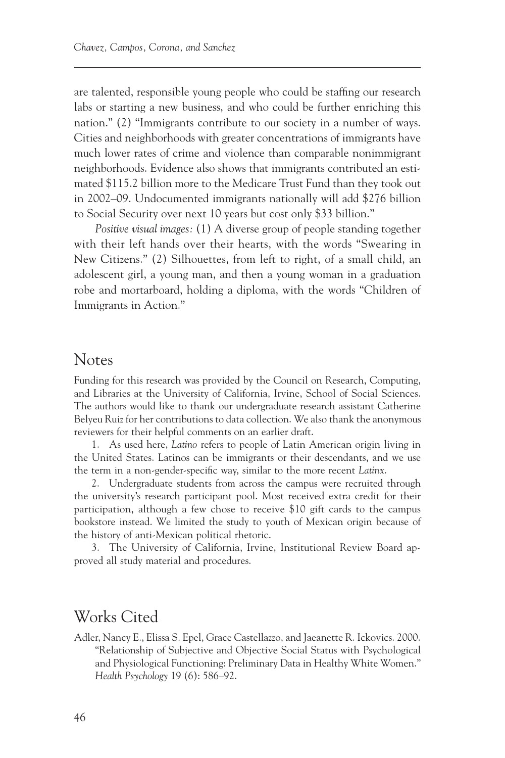<span id="page-28-0"></span>are talented, responsible young people who could be staffing our research labs or starting a new business, and who could be further enriching this nation." (2) "Immigrants contribute to our society in a number of ways. Cities and neighborhoods with greater concentrations of immigrants have much lower rates of crime and violence than comparable nonimmigrant neighborhoods. Evidence also shows that immigrants contributed an estimated \$115.2 billion more to the Medicare Trust Fund than they took out in 2002–09. Undocumented immigrants nationally will add \$276 billion to Social Security over next 10 years but cost only \$33 billion."

*Positive visual images:* (1) A diverse group of people standing together with their left hands over their hearts, with the words "Swearing in New Citizens." (2) Silhouettes, from left to right, of a small child, an adolescent girl, a young man, and then a young woman in a graduation robe and mortarboard, holding a diploma, with the words "Children of Immigrants in Action."

#### Notes

Funding for this research was provided by the Council on Research, Computing, and Libraries at the University of California, Irvine, School of Social Sciences. The authors would like to thank our undergraduate research assistant Catherine Belyeu Ruiz for her contributions to data collection. We also thank the anonymous reviewers for their helpful comments on an earlier draft.

[1.](#page-3-0) As used here, *Latino* refers to people of Latin American origin living in the United States. Latinos can be immigrants or their descendants, and we use the term in a non-gender-specific way, similar to the more recent *Latinx*.

[2.](#page-9-0) Undergraduate students from across the campus were recruited through the university's research participant pool. Most received extra credit for their participation, although a few chose to receive \$10 gift cards to the campus bookstore instead. We limited the study to youth of Mexican origin because of the history of anti-Mexican political rhetoric.

[3.](#page-9-0) The University of California, Irvine, Institutional Review Board approved all study material and procedures.

# Works Cited

Adler, Nancy E., Elissa S. Epel, Grace Castellazzo, and Jaeanette R. Ickovics. 2000. "Relationship of Subjective and Objective Social Status with Psychological and Physiological Functioning: Preliminary Data in Healthy White Women." *Health Psychology* 19 (6): 586–92.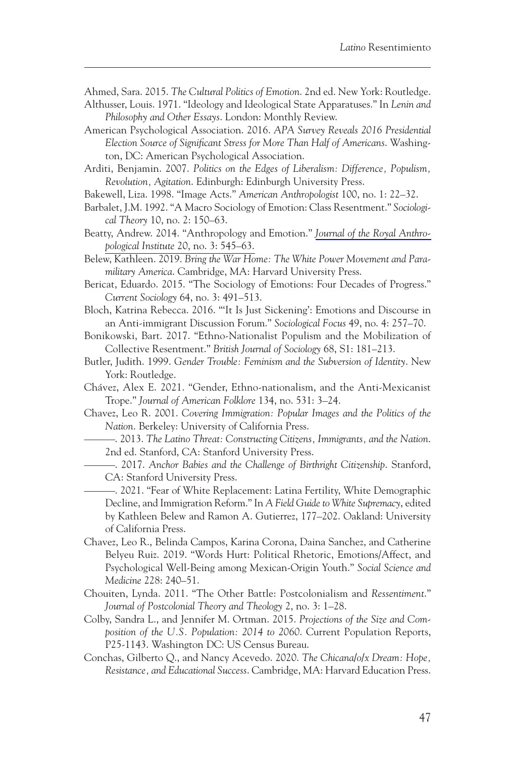Ahmed, Sara. 2015. *The Cultural Politics of Emotion*. 2nd ed. New York: Routledge.

- Althusser, Louis. 1971. "Ideology and Ideological State Apparatuses." In *Lenin and Philosophy and Other Essays*. London: Monthly Review.
- American Psychological Association. 2016. *APA Survey Reveals 2016 Presidential Election Source of Significant Stress for More Than Half of Americans*. Washington, DC: American Psychological Association.

Arditi, Benjamin. 2007. *Politics on the Edges of Liberalism: Difference, Populism, Revolution, Agitation*. Edinburgh: Edinburgh University Press.

- Bakewell, Liza. 1998. "Image Acts." *American Anthropologist* 100, no. 1: 22–32.
- Barbalet, J.M. 1992. "A Macro Sociology of Emotion: Class Resentment." *Sociological Theory* 10, no. 2: 150–63.
- Beatty, Andrew. 2014. "Anthropology and Emotion." *[Journal of the Royal Anthro](http://www.ingentaconnect.com/content/external-references?article=1359-0987()20:3L.545[aid=10730108])pological Institute* [20, no. 3: 545–63.](http://www.ingentaconnect.com/content/external-references?article=1359-0987()20:3L.545[aid=10730108])
- Belew, Kathleen. 2019. *Bring the War Home: The White Power Movement and Paramilitary America*. Cambridge, MA: Harvard University Press.
- Bericat, Eduardo. 2015. "The Sociology of Emotions: Four Decades of Progress." *Current Sociology* 64, no. 3: 491–513.
- Bloch, Katrina Rebecca. 2016. "'It Is Just Sickening': Emotions and Discourse in an Anti-immigrant Discussion Forum." *Sociological Focus* 49, no. 4: 257–70.
- Bonikowski, Bart. 2017. "Ethno-Nationalist Populism and the Mobilization of Collective Resentment." *British Journal of Sociology* 68, S1: 181–213.
- Butler, Judith. 1999. *Gender Trouble: Feminism and the Subversion of Identity*. New York: Routledge.
- Chávez, Alex E. 2021. "Gender, Ethno-nationalism, and the Anti-Mexicanist Trope." *Journal of American Folklore* 134, no. 531: 3–24.
- Chavez, Leo R. 2001. *Covering Immigration: Popular Images and the Politics of the Nation*. Berkeley: University of California Press.
	- ———. 2013. *The Latino Threat: Constructing Citizens, Immigrants, and the Nation*. 2nd ed. Stanford, CA: Stanford University Press.

———. 2017. *Anchor Babies and the Challenge of Birthright Citizenship*. Stanford, CA: Stanford University Press.

———. 2021. "Fear of White Replacement: Latina Fertility, White Demographic Decline, and Immigration Reform." In *A Field Guide to White Supremacy*, edited by Kathleen Belew and Ramon A. Gutierrez, 177–202. Oakland: University of California Press.

- Chavez, Leo R., Belinda Campos, Karina Corona, Daina Sanchez, and Catherine Belyeu Ruiz. 2019. "Words Hurt: Political Rhetoric, Emotions/Affect, and Psychological Well-Being among Mexican-Origin Youth." *Social Science and Medicine* 228: 240–51.
- Chouiten, Lynda. 2011. "The Other Battle: Postcolonialism and *Ressentiment*." *Journal of Postcolonial Theory and Theology* 2, no. 3: 1–28.
- Colby, Sandra L., and Jennifer M. Ortman. 2015. *Projections of the Size and Composition of the U.S. Population: 2014 to 2060*. Current Population Reports, P25-1143. Washington DC: US Census Bureau.
- Conchas, Gilberto Q., and Nancy Acevedo. 2020. *The Chicana/o/x Dream: Hope, Resistance, and Educational Success*. Cambridge, MA: Harvard Education Press.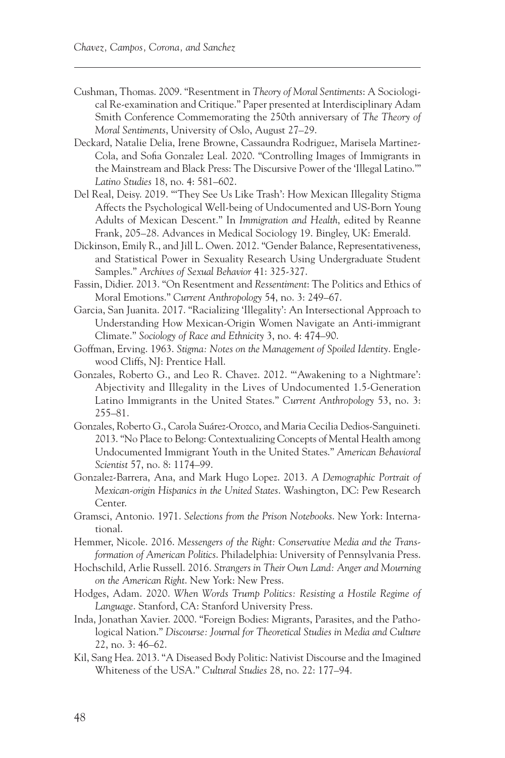- Cushman, Thomas. 2009. "Resentment in *Theory of Moral Sentiments*: A Sociological Re-examination and Critique." Paper presented at Interdisciplinary Adam Smith Conference Commemorating the 250th anniversary of *The Theory of Moral Sentiments*, University of Oslo, August 27–29.
- Deckard, Natalie Delia, Irene Browne, Cassaundra Rodriguez, Marisela Martinez-Cola, and Sofia Gonzalez Leal. 2020. "Controlling Images of Immigrants in the Mainstream and Black Press: The Discursive Power of the 'Illegal Latino.'" *Latino Studies* 18, no. 4: 581–602.
- Del Real, Deisy. 2019. "'They See Us Like Trash': How Mexican Illegality Stigma Affects the Psychological Well-being of Undocumented and US-Born Young Adults of Mexican Descent." In *Immigration and Health*, edited by Reanne Frank, 205–28. Advances in Medical Sociology 19. Bingley, UK: Emerald.
- Dickinson, Emily R., and Jill L. Owen. 2012. "Gender Balance, Representativeness, and Statistical Power in Sexuality Research Using Undergraduate Student Samples." *Archives of Sexual Behavior* 41: 325-327.
- Fassin, Didier. 2013. "On Resentment and *Ressentiment*: The Politics and Ethics of Moral Emotions." *Current Anthropology* 54, no. 3: 249–67.
- Garcia, San Juanita. 2017. "Racializing 'Illegality': An Intersectional Approach to Understanding How Mexican-Origin Women Navigate an Anti-immigrant Climate." *Sociology of Race and Ethnicity* 3, no. 4: 474–90.
- Goffman, Erving. 1963. *Stigma: Notes on the Management of Spoiled Identity*. Englewood Cliffs, NJ: Prentice Hall.
- Gonzales, Roberto G., and Leo R. Chavez. 2012. "'Awakening to a Nightmare': Abjectivity and Illegality in the Lives of Undocumented 1.5-Generation Latino Immigrants in the United States." *Current Anthropology* 53, no. 3: 255–81.
- Gonzales, Roberto G., Carola Suárez-Orozco, and Maria Cecilia Dedios-Sanguineti. 2013. "No Place to Belong: Contextualizing Concepts of Mental Health among Undocumented Immigrant Youth in the United States." *American Behavioral Scientist* 57, no. 8: 1174–99.
- Gonzalez-Barrera, Ana, and Mark Hugo Lopez. 2013. *A Demographic Portrait of Mexican-origin Hispanics in the United States*. Washington, DC: Pew Research Center.
- Gramsci, Antonio. 1971. *Selections from the Prison Notebooks*. New York: International.
- Hemmer, Nicole. 2016. *Messengers of the Right: Conservative Media and the Transformation of American Politics*. Philadelphia: University of Pennsylvania Press.
- Hochschild, Arlie Russell. 2016. *Strangers in Their Own Land: Anger and Mourning on the American Right*. New York: New Press.
- Hodges, Adam. 2020. *When Words Trump Politics: Resisting a Hostile Regime of Language*. Stanford, CA: Stanford University Press.
- Inda, Jonathan Xavier. 2000. "Foreign Bodies: Migrants, Parasites, and the Pathological Nation." *Discourse: Journal for Theoretical Studies in Media and Culture* 22, no. 3: 46–62.
- Kil, Sang Hea. 2013. "A Diseased Body Politic: Nativist Discourse and the Imagined Whiteness of the USA." *Cultural Studies* 28, no. 22: 177–94.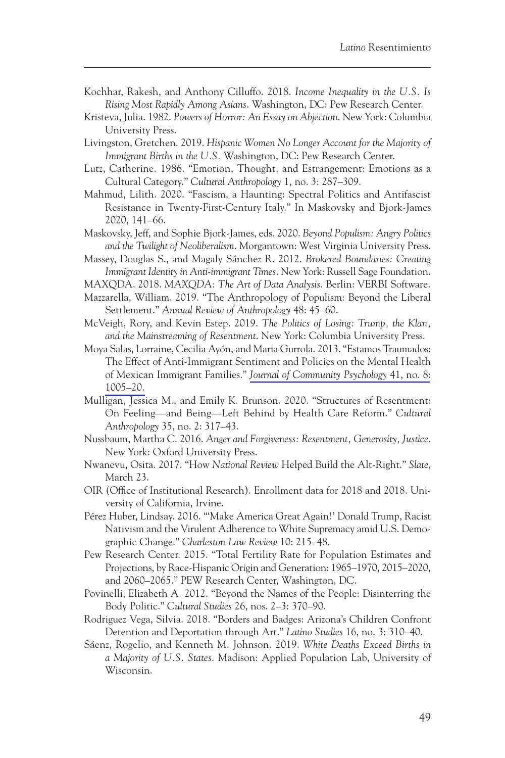- Kochhar, Rakesh, and Anthony Cilluffo. 2018. *Income Inequality in the U.S. Is Rising Most Rapidly Among Asians*. Washington, DC: Pew Research Center.
- Kristeva, Julia. 1982. *Powers of Horror: An Essay on Abjection*. New York: Columbia University Press.
- Livingston, Gretchen. 2019. *Hispanic Women No Longer Account for the Majority of Immigrant Births in the U.S.* Washington, DC: Pew Research Center.
- Lutz, Catherine. 1986. "Emotion, Thought, and Estrangement: Emotions as a Cultural Category." *Cultural Anthropology* 1, no. 3: 287–309.
- Mahmud, Lilith. 2020. "Fascism, a Haunting: Spectral Politics and Antifascist Resistance in Twenty-First-Century Italy." In Maskovsky and Bjork-James 2020, 141–66.
- Maskovsky, Jeff, and Sophie Bjork-James, eds. 2020. *Beyond Populism: Angry Politics and the Twilight of Neoliberalism*. Morgantown: West Virginia University Press.
- Massey, Douglas S., and Magaly Sánchez R. 2012. *Brokered Boundaries: Creating Immigrant Identity in Anti-immigrant Times*. New York: Russell Sage Foundation.

MAXQDA. 2018. *MAXQDA: The Art of Data Analysis*. Berlin: VERBI Software.

- Mazzarella, William. 2019. "The Anthropology of Populism: Beyond the Liberal Settlement." *Annual Review of Anthropology* 48: 45–60.
- McVeigh, Rory, and Kevin Estep. 2019. *The Politics of Losing: Trump, the Klan, and the Mainstreaming of Resentment*. New York: Columbia University Press.
- Moya Salas, Lorraine, Cecilia Ayón, and Maria Gurrola. 2013. "Estamos Traumados: The Effect of Anti-Immigrant Sentiment and Policies on the Mental Health of Mexican Immigrant Families." *[Journal of Community Psychology](http://www.ingentaconnect.com/content/external-references?article=0090-4392()41:8L.1005[aid=10960052])* 41, no. 8: [1005–20.](http://www.ingentaconnect.com/content/external-references?article=0090-4392()41:8L.1005[aid=10960052])
- Mulligan, Jessica M., and Emily K. Brunson. 2020. "Structures of Resentment: On Feeling—and Being—Left Behind by Health Care Reform." *Cultural Anthropology* 35, no. 2: 317–43.
- Nussbaum, Martha C. 2016. *Anger and Forgiveness: Resentment, Generosity, Justice*. New York: Oxford University Press.
- Nwanevu, Osita. 2017. "How *National Review* Helped Build the Alt-Right." *Slate*, March 23.
- OIR (Office of Institutional Research). Enrollment data for 2018 and 2018. University of California, Irvine.
- Pérez Huber, Lindsay. 2016. "'Make America Great Again!' Donald Trump, Racist Nativism and the Virulent Adherence to White Supremacy amid U.S. Demographic Change." *Charleston Law Review* 10: 215–48.
- Pew Research Center. 2015. "Total Fertility Rate for Population Estimates and Projections, by Race-Hispanic Origin and Generation: 1965–1970, 2015–2020, and 2060–2065." PEW Research Center, Washington, DC.
- Povinelli, Elizabeth A. 2012. "Beyond the Names of the People: Disinterring the Body Politic." *Cultural Studies* 26, nos. 2–3: 370–90.
- Rodriguez Vega, Silvia. 2018. "Borders and Badges: Arizona's Children Confront Detention and Deportation through Art." *Latino Studies* 16, no. 3: 310–40.
- Sáenz, Rogelio, and Kenneth M. Johnson. 2019. *White Deaths Exceed Births in a Majority of U.S. States*. Madison: Applied Population Lab, University of Wisconsin.